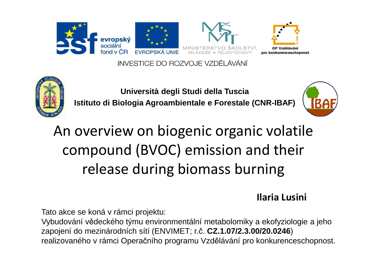

INVESTICE DO ROZVOJE VZDĚLÁVÁNÍ



**Università degli Studi della TusciaIstituto di Biologia Agroambientale e Forestale (CNR-IBAF)**



# An overview on biogenic organic volatile compound (BVOC) emission and their release during biomass burning

**Ilaria Lusini**

Tato akce se koná v rámci projektu:

Vybudování vědeckého týmu environmentální metabolomiky a ekofyziologie a jeho zapojení do mezinárodních sítí (ENVIMET; r.č. **CZ.1.07/2.3.00/20.0246**)realizovaného v rámci Operačního programu Vzdělávání pro konkurenceschopnost.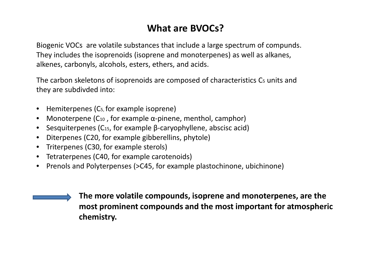# **What are BVOCs?**

Biogenic VOCs are volatile substances that include a large spectrum of compunds. They includes the isoprenoids (isoprene and monoterpenes) as well as alkanes, alkenes, carbonyls, alcohols, esters, ethers, and acids.

The carbon skeletons of isoprenoids are composed of characteristics C<sub>5</sub> units and they are subdivded into:

- $\bullet$ Hemiterpenes (C5, for example isoprene)
- Monoterpene (C<sub>10</sub> , for example α-pinene, menthol, camphor)
- $\bullet$ Sesquiterpenes ( $C_{15}$ , for example  $\beta$ -caryophyllene, abscisc acid)
- Diterpenes (C20, for example gibberellins, phytole)
- Triterpenes (C30, for example sterols)
- Tetraterpenes (C40, for example carotenoids)
- Prenols and Polyterpenses (>C45, for example plastochinone, ubichinone)

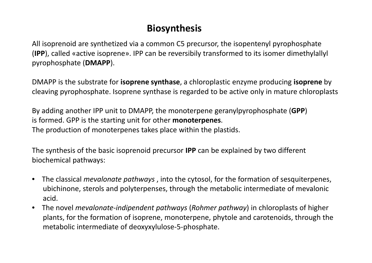# **Biosynthesis**

All isoprenoid are synthetized via a common C5 precursor, the isopentenyl pyrophosphate (**IPP**), called «active isoprene». IPP can be reversibily transformed to its isomer dimethylallyl pyrophosphate (**DMAPP**).

DMAPP is the substrate for **isoprene synthase**, a chloroplastic enzyme producing **isoprene** by cleaving pyrophosphate. Isoprene synthase is regarded to be active only in mature chloroplasts

By adding another IPP unit to DMAPP, the monoterpene geranylpyrophosphate (**GPP**) is formed. GPP is the starting unit for other **monoterpenes**. The production of monoterpenes takes place within the plastids.

The synthesis of the basic isoprenoid precursor **IPP** can be explained by two different biochemical pathways:

- • The classical *mevalonate pathways* , into the cytosol, for the formation of sesquiterpenes, ubichinone, sterols and polyterpenses, through the metabolic intermediate of mevalonic acid.
- $\bullet$  The novel *mevalonate-indipendent pathways* (*Rohmer pathway*) in chloroplasts of higher plants, for the formation of isoprene, monoterpene, phytole and carotenoids, through the metabolic intermediate of deoxyxylulose-5-phosphate.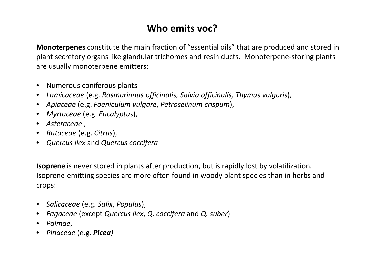# **Who emits voc?**

**Monoterpenes** constitute the main fraction of "essential oils" that are produced and stored in plant secretory organs like glandular trichomes and resin ducts. Monoterpene-storing plants are usually monoterpene emitters:

- Numerous coniferous plants
- *Lamicaceae* (e.g. *Rosmarinnus officinalis, Salvia officinalis, Thymus vulgaris*),
- *Apiaceae* (e.g. *Foeniculum vulgare*, *Petroselinum crispum*),
- *Myrtaceae* (e.g. *Eucalyptus*),
- *Asteraceae* ,
- *Rutaceae* (e.g. *Citrus*),
- *Quercus ilex* and *Quercus coccifera*

**Isoprene** is never stored in plants after production, but is rapidly lost by volatilization. Isoprene-emitting species are more often found in woody plant species than in herbs and crops:

- *Salicaceae* (e.g. *Salix*, *Populus*),
- *Fagaceae* (except *Quercus ilex*, *Q. coccifera* and *Q. suber*)
- *Palmae*,
- *Pinaceae* (e.g. *Picea)*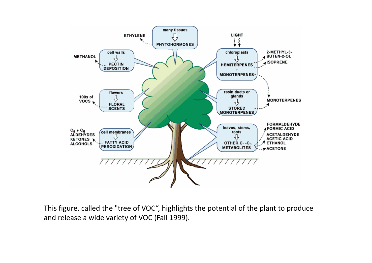

This figure, called the "tree of VOC", highlights the potential of the plant to produce and release a wide variety of VOC (Fall 1999).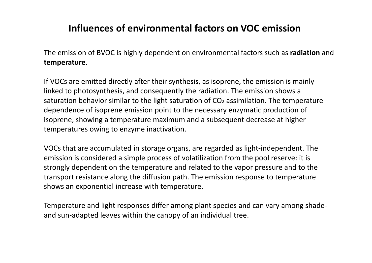# **Influences of environmental factors on VOC emission**

The emission of BVOC is highly dependent on environmental factors such as **radiation** and **temperature**.

If VOCs are emitted directly after their synthesis, as isoprene, the emission is mainlylinked to photosynthesis, and consequently the radiation. The emission shows a saturation behavior similar to the light saturation of CO2 assimilation. The temperature dependence of isoprene emission point to the necessary enzymatic production of isoprene, showing a temperature maximum and a subsequent decrease at higher temperatures owing to enzyme inactivation.

VOCs that are accumulated in storage organs, are regarded as light-independent. The emission is considered a simple process of volatilization from the pool reserve: it is strongly dependent on the temperature and related to the vapor pressure and to the transport resistance along the diffusion path. The emission response to temperature shows an exponential increase with temperature.

Temperature and light responses differ among plant species and can vary among shadeand sun-adapted leaves within the canopy of an individual tree.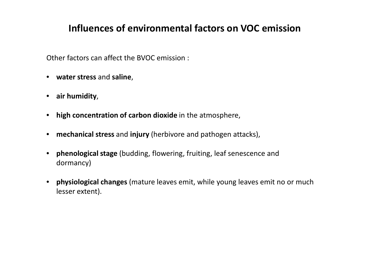# **Influences of environmental factors on VOC emission**

Other factors can affect the BVOC emission :

- **water stress** and **saline**,
- **air humidity**,
- **high concentration of carbon dioxide** in the atmosphere,
- **mechanical stress** and **injury** (herbivore and pathogen attacks),
- **phenological stage** (budding, flowering, fruiting, leaf senescence and dormancy)
- **physiological changes** (mature leaves emit, while young leaves emit no or much lesser extent).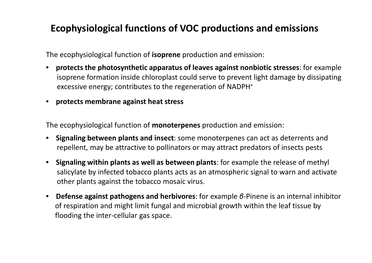# **Ecophysiological functions of VOC productions and emissions**

The ecophysiological function of **isoprene** production and emission:

- $\bullet$  **protects the photosynthetic apparatus of leaves against nonbiotic stresses**: for example isoprene formation inside chloroplast could serve to prevent light damage by dissipating excessive energy; contributes to the regeneration of NADPH<sup>+</sup>
- **protects membrane against heat stress**

The ecophysiological function of **monoterpenes** production and emission:

- $\bullet$  **Signaling between plants and insect**: some monoterpenes can act as deterrents andrepellent, may be attractive to pollinators or may attract predators of insects pests
- **Signaling within plants as well as between plants**: for example the release of methyl salicylate by infected tobacco plants acts as an atmospheric signal to warn and activateother plants against the tobacco mosaic virus.
- **Defense against pathogens and herbivores**: for example *<sup>β</sup>*-Pinene is an internal inhibitor of respiration and might limit fungal and microbial growth within the leaf tissue by flooding the inter-cellular gas space.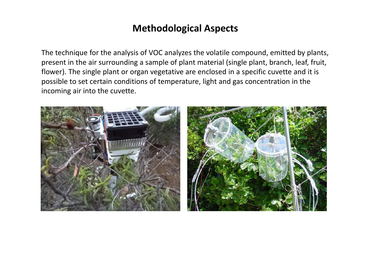#### **Methodological Aspects**

The technique for the analysis of VOC analyzes the volatile compound, emitted by plants,present in the air surrounding a sample of plant material (single plant, branch, leaf, fruit, flower). The single plant or organ vegetative are enclosed in a specific cuvette and it ispossible to set certain conditions of temperature, light and gas concentration in the incoming air into the cuvette.

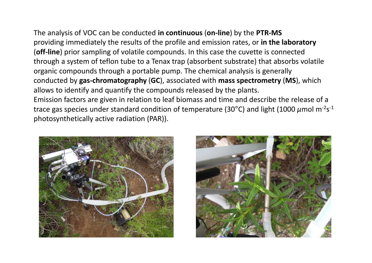The analysis of VOC can be conducted **in continuous** (**on-line**) by the **PTR-MS** providing immediately the results of the profile and emission rates, or **in the laboratory**(**off-line**) prior sampling of volatile compounds. In this case the cuvette is connected through a system of teflon tube to a Tenax trap (absorbent substrate) that absorbs volatile organic compounds through a portable pump. The chemical analysis is generally conducted by **gas-chromatography** (**GC**), associated with **mass spectrometry** (**MS**), which allows to identify and quantify the compounds released by the plants.Emission factors are given in relation to leaf biomass and time and describe the release of a trace gas species under standard condition of temperature (30°C) and light (1000 μmol m<sup>-2</sup>s<sup>-1</sup>

photosynthetically active radiation (PAR)).



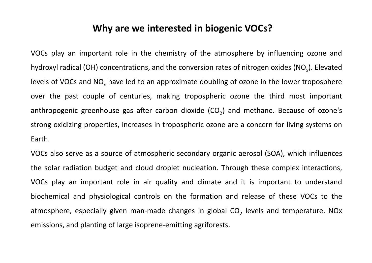#### **Why are we interested in biogenic VOCs?**

VOCs play an important role in the chemistry of the atmosphere by influencing ozone andhydroxyl radical (OH) concentrations, and the conversion rates of nitrogen oxides (NO*<sup>x</sup>*). Elevatedlevels of VOCs and NO*x* have led to an approximate doubling of ozone in the lower troposphere over the past couple of centuries, making tropospheric ozone the third most important anthropogenic greenhouse gas after carbon dioxide (CO<sub>2</sub>) and methane. Because of ozone's strong oxidizing properties, increases in tropospheric ozone are <sup>a</sup> concern for living systems onEarth.

VOCs also serve as <sup>a</sup> source of atmospheric secondary organic aerosol (SOA), which influences the solar radiation budget and cloud droplet nucleation. Through these complex interactions, VOCs play an important role in air quality and climate and it is important to understandbiochemical and physiological controls on the formation and release of these VOCs to the atmosphere, especially given man-made changes in global CO<sub>2</sub> levels and temperature, NOx emissions, and planting of large isoprene-emitting agriforests.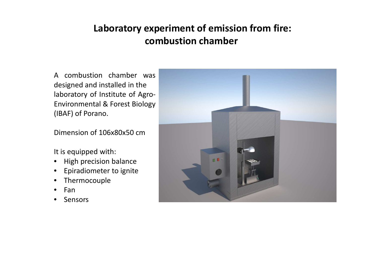# **Laboratory experiment of emission from fire:combustion chamber**

<sup>A</sup> combustion chamber was designed and installed in the laboratory of Institute of Agro-Environmental & Forest Biology (IBAF) of Porano.

Dimension of 106x80x50 cm

It is equipped with:

- $\bullet$ High precision balance
- Epiradiometer to ignite
- $\bullet$ Thermocouple
- $\bullet$ Fan
- Sensors  $\bullet$

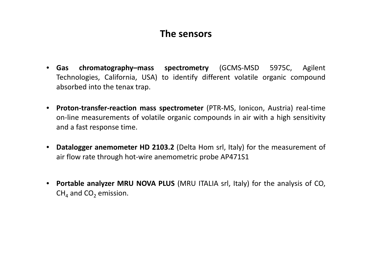#### **The sensors**

- $\bullet$  **Gas chromatography–mass spectrometry** (GCMS-MSD 5975C, Agilent Technologies, California, USA) to identify different volatile organic compoundabsorbed into the tenax trap.
- **Proton-transfer-reaction mass spectrometer** (PTR-MS, Ionicon, Austria) real-time on-line measurements of volatile organic compounds in air with <sup>a</sup> high sensitivity and <sup>a</sup> fast response time.
- $\bullet$  **Datalogger anemometer HD 2103.2** (Delta Hom srl, Italy) for the measurement of air flow rate through hot-wire anemometric probe AP471S1
- $\bullet$  **Portable analyzer MRU NOVA PLUS** (MRU ITALIA srl, Italy) for the analysis of CO,  $\mathsf{CH}_4$  and  $\mathsf{CO}_2$  emission.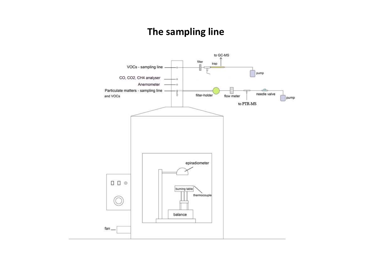# **The sampling line**

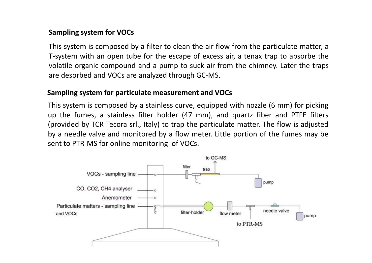#### **Sampling system for VOCs**

This system is composed by <sup>a</sup> filter to clean the air flow from the particulate matter, <sup>a</sup> T-system with an open tube for the escape of excess air, <sup>a</sup> tenax trap to absorbe the volatile organic compound and <sup>a</sup> pump to suck air from the chimney. Later the traps are desorbed and VOCs are analyzed through GC-MS.

#### **Sampling system for particulate measurement and VOCs**

This system is composed by <sup>a</sup> stainless curve, equipped with nozzle (6 mm) for picking up the fumes, <sup>a</sup> stainless filter holder (47 mm), and quartz fiber and PTFE filters (provided by TCR Tecora srl., Italy) to trap the particulate matter. The flow is adjusted by <sup>a</sup> needle valve and monitored by <sup>a</sup> flow meter. Little portion of the fumes may be sent to PTR-MS for online monitoring of VOCs.

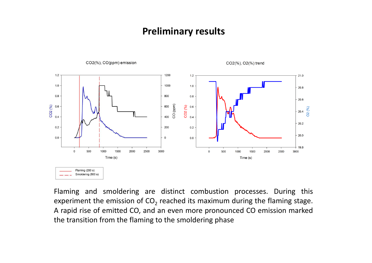

Flaming and smoldering are distinct combustion processes. During this experiment the emission of  $CO_2$  reached its maximum during the flaming stage. <sup>A</sup> rapid rise of emitted CO, and an even more pronounced CO emission markedthe transition from the flaming to the smoldering phase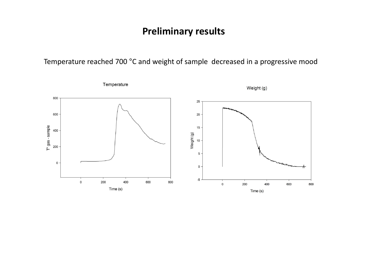Temperature reached 700 °C and weight of sample decreased in a progressive mood

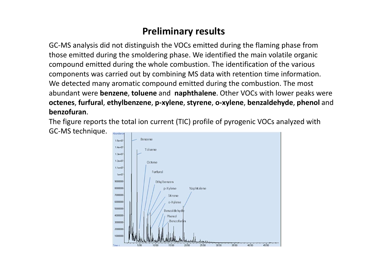GC-MS analysis did not distinguish the VOCs emitted during the flaming phase from those emitted during the smoldering phase. We identified the main volatile organic compound emitted during the whole combustion. The identification of the various components was carried out by combining MS data with retention time information. We detected many aromatic compound emitted during the combustion. The most abundant were **benzene**, **toluene** and **naphthalene**. Other VOCs with lower peaks were **octenes**, **furfural**, **ethylbenzene**, **p-xylene**, **styrene**, **o-xylene**, **benzaldehyde**, **phenol** and **benzofuran**.

The figure reports the total ion current (TIC) profile of pyrogenic VOCs analyzed with GC-MS technique.Abundance

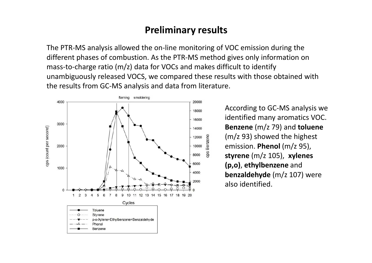The PTR-MS analysis allowed the on-line monitoring of VOC emission during the different phases of combustion. As the PTR-MS method gives only information on mass-to-charge ratio (m/z) data for VOCs and makes difficult to identify unambiguously released VOCS, we compared these results with those obtained with the results from GC-MS analysis and data from literature.



According to GC-MS analysis we identified many aromatics VOC. **Benzene** (m/z 79) and **toluene** (m/z 93) showed the highest emission. **Phenol** (m/z 95), **styrene** (m/z 105), **xylenes (p,o)**, **ethylbenzene** and **benzaldehyde** (m/z 107) were also identified.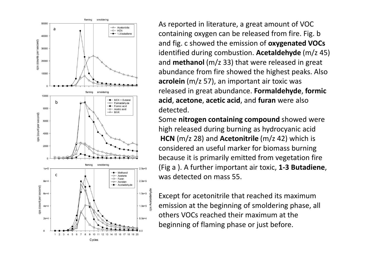

As reported in literature, a great amount of VOC containing oxygen can be released from fire. Fig. b and fig. c showed the emission of **oxygenated VOCs** identified during combustion. **Acetaldehyde** (m/z 45) and **methanol** (m/z 33) that were released in great abundance from fire showed the highest peaks. Also **acrolein** (m/z 57), an important air toxic was released in great abundance. **Formaldehyde**, **formic acid**, **acetone**, **acetic acid**, and **furan** were also detected.

Some **nitrogen containing compound** showed were high released during burning as hydrocyanic acid **HCN** (m/z 28) and **Acetonitrile** (m/z 42) which is considered an useful marker for biomass burning because it is primarily emitted from vegetation fire (Fig a ). A further important air toxic, **1-3 Butadiene**, was detected on mass 55.

Except for acetonitrile that reached its maximum emission at the beginning of smoldering phase, all others VOCs reached their maximum at the beginning of flaming phase or just before.